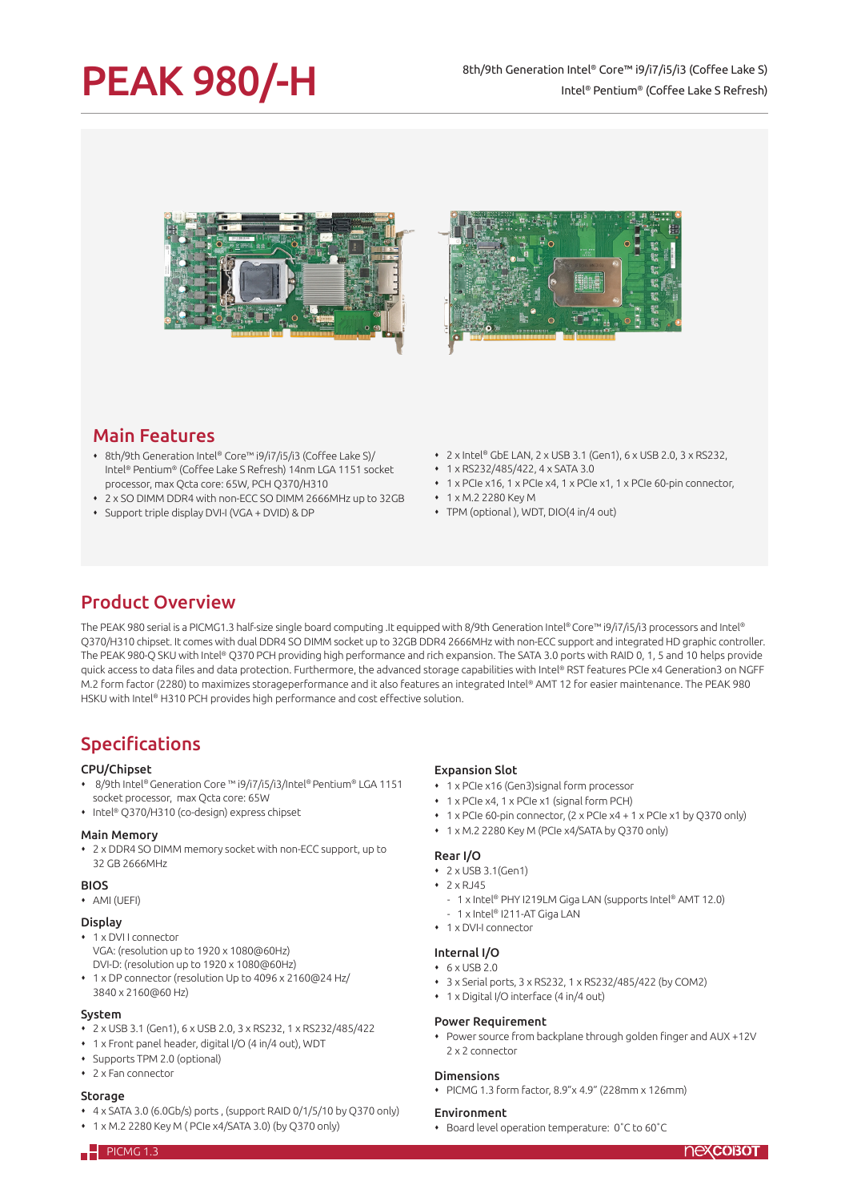# PEAK 980/-H

### 8th/9th Generation Intel® Core™ i9/i7/i5/i3 (Coffee Lake S) Intel® Pentium® (Coffee Lake S Refresh)





## Main Features

- 8th/9th Generation Intel® Core™ i9/i7/i5/i3 (Coffee Lake S)/ Intel® Pentium® (Coffee Lake S Refresh) 14nm LGA 1151 socket processor, max Qcta core: 65W, PCH Q370/H310
- 2 x SO DIMM DDR4 with non-ECC SO DIMM 2666MHz up to 32GB
- Support triple display DVI-I (VGA + DVID) & DP
- 2 x Intel® GbE LAN, 2 x USB 3.1 (Gen1), 6 x USB 2.0, 3 x RS232,
- 1 x RS232/485/422, 4 x SATA 3.0
- 1 x PCIe x16, 1 x PCIe x4, 1 x PCIe x1, 1 x PCIe 60-pin connector,
- 1 x M.2 2280 Key M
- TPM (optional ), WDT, DIO(4 in/4 out)

## Product Overview

The PEAK 980 serial is a PICMG1.3 half-size single board computing .It equipped with 8/9th Generation Intel® Core™ i9/i7/i5/i3 processors and Intel® Q370/H310 chipset. It comes with dual DDR4 SO DIMM socket up to 32GB DDR4 2666MHz with non-ECC support and integrated HD graphic controller. The PEAK 980-Q SKU with Intel® Q370 PCH providing high performance and rich expansion. The SATA 3.0 ports with RAID 0, 1, 5 and 10 helps provide quick access to data files and data protection. Furthermore, the advanced storage capabilities with Intel® RST features PCIe x4 Generation3 on NGFF M.2 form factor (2280) to maximizes storageperformance and it also features an integrated Intel® AMT 12 for easier maintenance. The PEAK 980 HSKU with Intel® H310 PCH provides high performance and cost effective solution.

## Specifications

#### CPU/Chipset

- 8/9th Intel® Generation Core ™ i9/i7/i5/i3/Intel® Pentium® LGA 1151 socket processor, max Qcta core: 65W
- Intel® Q370/H310 (co-design) express chipset

#### Main Memory

 2 x DDR4 SO DIMM memory socket with non-ECC support, up to 32 GB 2666MHz

#### **BIOS**

AMI (UEFI)

#### Display

- 1 x DVI I connector
- VGA: (resolution up to 1920 x 1080@60Hz) DVI-D: (resolution up to 1920 x 1080@60Hz)
- 1 x DP connector (resolution Up to 4096 x 2160@24 Hz/

# 3840 x 2160@60 Hz)

- System 2 x USB 3.1 (Gen1), 6 x USB 2.0, 3 x RS232, 1 x RS232/485/422
- 1 x Front panel header, digital I/O (4 in/4 out), WDT
- Supports TPM 2.0 (optional)
- 2 x Fan connector

#### Storage

- $\cdot$  4 x SATA 3.0 (6.0Gb/s) ports, (support RAID 0/1/5/10 by Q370 only)
- 1 x M.2 2280 Key M ( PCIe x4/SATA 3.0) (by Q370 only)

#### Expansion Slot

- 1 x PCIe x16 (Gen3)signal form processor
- 1 x PCIe x4, 1 x PCIe x1 (signal form PCH)
- 1 x PCIe 60-pin connector, (2 x PCIe x4 + 1 x PCIe x1 by Q370 only)
- 1 x M.2 2280 Key M (PCIe x4/SATA by Q370 only)

#### Rear I/O

- 2 x USB 3.1(Gen1)
- $\cdot$  2 x RJ45
	- 1 x Intel® PHY I219LM Giga LAN (supports Intel® AMT 12.0)
- 1 x Intel® I211-AT Giga LAN
- 1 x DVI-I connector

#### Internal I/O

- $+ 6 \times$  USB 2.0
- 3 x Serial ports, 3 x RS232, 1 x RS232/485/422 (by COM2)
- 1 x Digital I/O interface (4 in/4 out)

#### Power Requirement

 Power source from backplane through golden finger and AUX +12V 2 x 2 connector

#### Dimensions

PICMG 1.3 form factor, 8.9"x 4.9" (228mm x 126mm)

#### Environment

Board level operation temperature: 0˚C to 60˚C